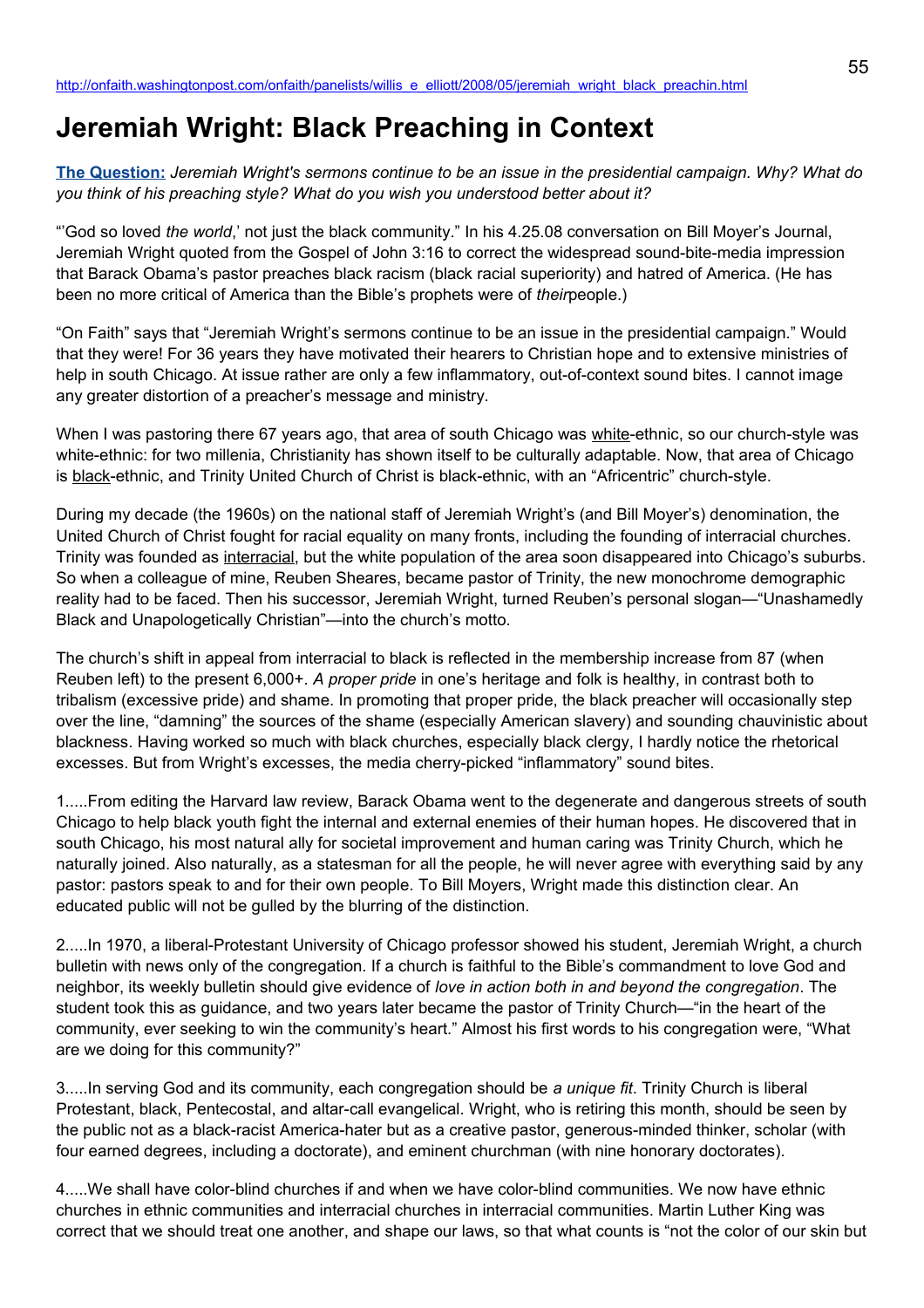# **Jeremiah Wright: Black Preaching in Context**

**[The Question:](http://newsweek.washingtonpost.com/onfaith/2008/04/jeremiah_wrights_sermons/all.html)** *Jeremiah Wright's sermons continue to be an issue in the presidential campaign. Why? What do you think of his preaching style? What do you wish you understood better about it?*

"'God so loved *the world*,' not just the black community." In his 4.25.08 conversation on Bill Moyer's Journal, Jeremiah Wright quoted from the Gospel of John 3:16 to correct the widespread sound-bite-media impression that Barack Obama's pastor preaches black racism (black racial superiority) and hatred of America. (He has been no more critical of America than the Bible's prophets were of *their*people.)

"On Faith" says that "Jeremiah Wright's sermons continue to be an issue in the presidential campaign." Would that they were! For 36 years they have motivated their hearers to Christian hope and to extensive ministries of help in south Chicago. At issue rather are only a few inflammatory, out-of-context sound bites. I cannot image any greater distortion of a preacher's message and ministry.

When I was pastoring there 67 years ago, that area of south Chicago was white-ethnic, so our church-style was white-ethnic: for two millenia, Christianity has shown itself to be culturally adaptable. Now, that area of Chicago is black-ethnic, and Trinity United Church of Christ is black-ethnic, with an "Africentric" church-style.

During my decade (the 1960s) on the national staff of Jeremiah Wright's (and Bill Moyer's) denomination, the United Church of Christ fought for racial equality on many fronts, including the founding of interracial churches. Trinity was founded as interracial, but the white population of the area soon disappeared into Chicago's suburbs. So when a colleague of mine, Reuben Sheares, became pastor of Trinity, the new monochrome demographic reality had to be faced. Then his successor, Jeremiah Wright, turned Reuben's personal slogan—"Unashamedly Black and Unapologetically Christian"—into the church's motto.

The church's shift in appeal from interracial to black is reflected in the membership increase from 87 (when Reuben left) to the present 6,000+. *A proper pride* in one's heritage and folk is healthy, in contrast both to tribalism (excessive pride) and shame. In promoting that proper pride, the black preacher will occasionally step over the line, "damning" the sources of the shame (especially American slavery) and sounding chauvinistic about blackness. Having worked so much with black churches, especially black clergy, I hardly notice the rhetorical excesses. But from Wright's excesses, the media cherry-picked "inflammatory" sound bites.

1.....From editing the Harvard law review, Barack Obama went to the degenerate and dangerous streets of south Chicago to help black youth fight the internal and external enemies of their human hopes. He discovered that in south Chicago, his most natural ally for societal improvement and human caring was Trinity Church, which he naturally joined. Also naturally, as a statesman for all the people, he will never agree with everything said by any pastor: pastors speak to and for their own people. To Bill Moyers, Wright made this distinction clear. An educated public will not be gulled by the blurring of the distinction.

2.....In 1970, a liberal-Protestant University of Chicago professor showed his student, Jeremiah Wright, a church bulletin with news only of the congregation. If a church is faithful to the Bible's commandment to love God and neighbor, its weekly bulletin should give evidence of *love in action both in and beyond the congregation*. The student took this as guidance, and two years later became the pastor of Trinity Church—"in the heart of the community, ever seeking to win the community's heart." Almost his first words to his congregation were, "What are we doing for this community?"

3.....In serving God and its community, each congregation should be *a unique fit*. Trinity Church is liberal Protestant, black, Pentecostal, and altar-call evangelical. Wright, who is retiring this month, should be seen by the public not as a black-racist America-hater but as a creative pastor, generous-minded thinker, scholar (with four earned degrees, including a doctorate), and eminent churchman (with nine honorary doctorates).

4.....We shall have color-blind churches if and when we have color-blind communities. We now have ethnic churches in ethnic communities and interracial churches in interracial communities. Martin Luther King was correct that we should treat one another, and shape our laws, so that what counts is "not the color of our skin but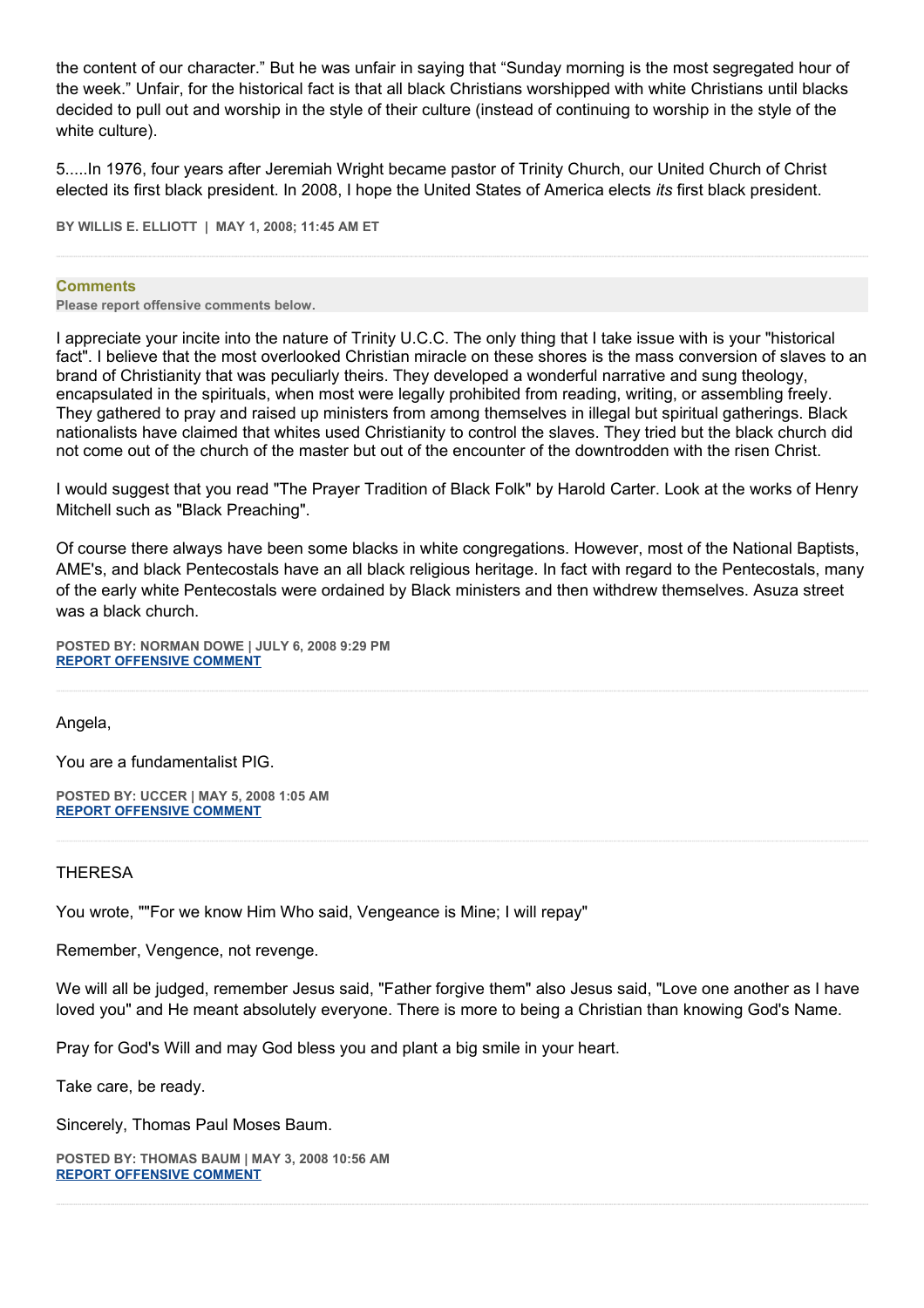the content of our character." But he was unfair in saying that "Sunday morning is the most segregated hour of the week." Unfair, for the historical fact is that all black Christians worshipped with white Christians until blacks decided to pull out and worship in the style of their culture (instead of continuing to worship in the style of the white culture).

5.....In 1976, four years after Jeremiah Wright became pastor of Trinity Church, our United Church of Christ elected its first black president. In 2008, I hope the United States of America elects *its* first black president.

**BY WILLIS E. ELLIOTT | MAY 1, 2008; 11:45 AM ET** 

#### **Comments**

**Please report offensive comments below.**

I appreciate your incite into the nature of Trinity U.C.C. The only thing that I take issue with is your "historical fact". I believe that the most overlooked Christian miracle on these shores is the mass conversion of slaves to an brand of Christianity that was peculiarly theirs. They developed a wonderful narrative and sung theology, encapsulated in the spirituals, when most were legally prohibited from reading, writing, or assembling freely. They gathered to pray and raised up ministers from among themselves in illegal but spiritual gatherings. Black nationalists have claimed that whites used Christianity to control the slaves. They tried but the black church did not come out of the church of the master but out of the encounter of the downtrodden with the risen Christ.

I would suggest that you read "The Prayer Tradition of Black Folk" by Harold Carter. Look at the works of Henry Mitchell such as "Black Preaching".

Of course there always have been some blacks in white congregations. However, most of the National Baptists, AME's, and black Pentecostals have an all black religious heritage. In fact with regard to the Pentecostals, many of the early white Pentecostals were ordained by Black ministers and then withdrew themselves. Asuza street was a black church.

**POSTED BY: NORMAN DOWE | JULY 6, 2008 9:29 PM [REPORT OFFENSIVE COMMENT](mailto:blogs@washingtonpost.com?subject=On%20Faith%20Panelists%20Blog%20%20%7C%20%20Norman%20Dowe%20%20%7C%20%20Jeremiah%20Wright:%20Black%20Preaching%20in%20Context%20%20%7C%20%204107878&body=%0D%0D%0D%0D%0D================%0D?__mode=view%26_type=comment%26id=4107878%26blog_id=618)**

Angela,

You are a fundamentalist PIG.

**POSTED BY: UCCER | MAY 5, 2008 1:05 AM [REPORT OFFENSIVE COMMENT](mailto:blogs@washingtonpost.com?subject=On%20Faith%20Panelists%20Blog%20%20%7C%20%20UCCer%20%20%7C%20%20Jeremiah%20Wright:%20Black%20Preaching%20in%20Context%20%20%7C%20%203372122&body=%0D%0D%0D%0D%0D================%0D?__mode=view%26_type=comment%26id=3372122%26blog_id=618)**

### THERESA

You wrote, ""For we know Him Who said, Vengeance is Mine; I will repay"

Remember, Vengence, not revenge.

We will all be judged, remember Jesus said, "Father forgive them" also Jesus said, "Love one another as I have loved you" and He meant absolutely everyone. There is more to being a Christian than knowing God's Name.

Pray for God's Will and may God bless you and plant a big smile in your heart.

Take care, be ready.

Sincerely, Thomas Paul Moses Baum.

**POSTED BY: THOMAS BAUM | MAY 3, 2008 10:56 AM [REPORT OFFENSIVE COMMENT](mailto:blogs@washingtonpost.com?subject=On%20Faith%20Panelists%20Blog%20%20%7C%20%20Thomas%20Baum%20%20%7C%20%20Jeremiah%20Wright:%20Black%20Preaching%20in%20Context%20%20%7C%20%203355605&body=%0D%0D%0D%0D%0D================%0D?__mode=view%26_type=comment%26id=3355605%26blog_id=618)**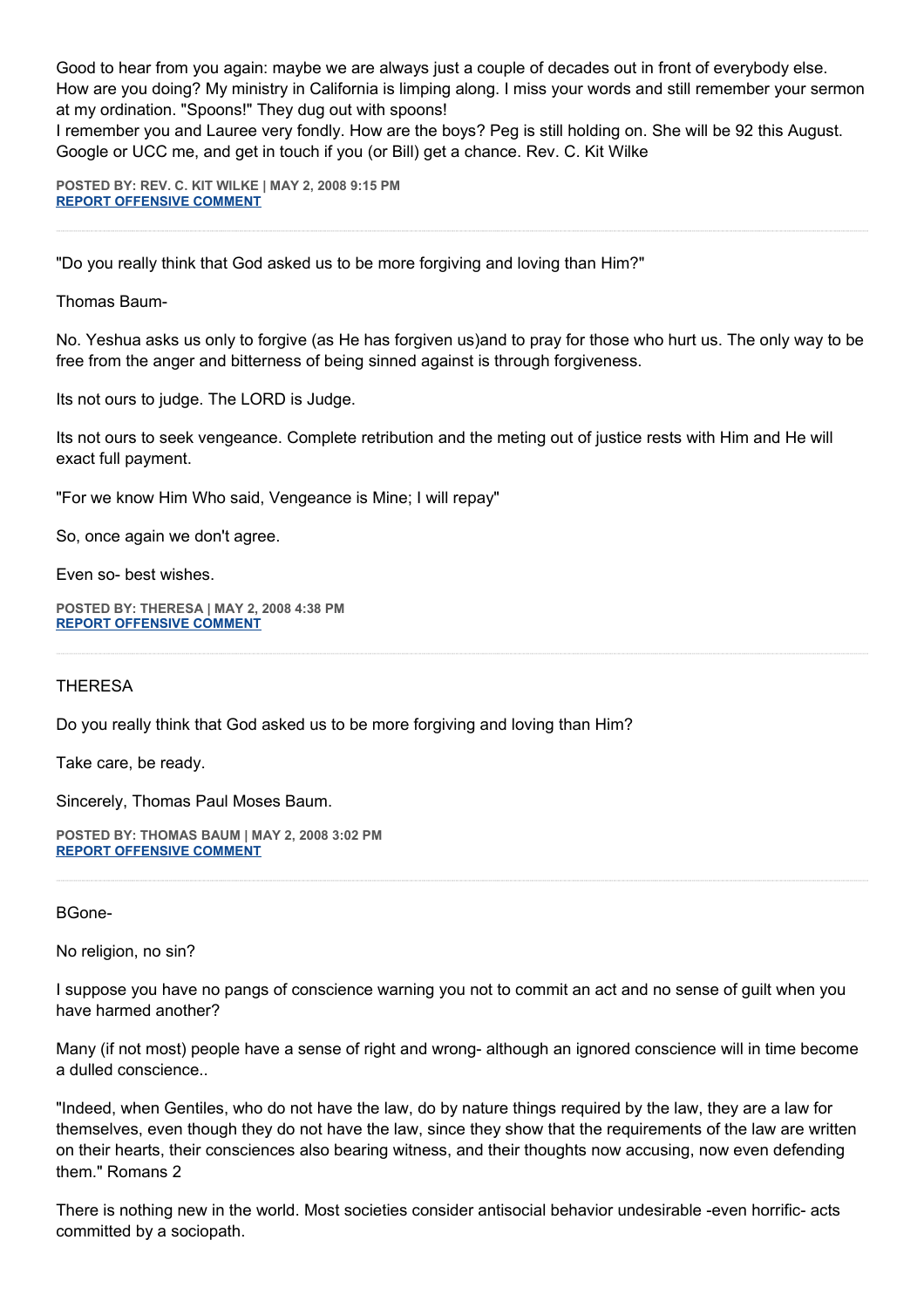Good to hear from you again: maybe we are always just a couple of decades out in front of everybody else. How are you doing? My ministry in California is limping along. I miss your words and still remember your sermon at my ordination. "Spoons!" They dug out with spoons!

I remember you and Lauree very fondly. How are the boys? Peg is still holding on. She will be 92 this August. Google or UCC me, and get in touch if you (or Bill) get a chance. Rev. C. Kit Wilke

**POSTED BY: REV. C. KIT WILKE | MAY 2, 2008 9:15 PM [REPORT OFFENSIVE COMMENT](mailto:blogs@washingtonpost.com?subject=On%20Faith%20Panelists%20Blog%20%20%7C%20%20Rev.%20C.%20Kit%20Wilke%20%20%7C%20%20Jeremiah%20Wright:%20Black%20Preaching%20in%20Context%20%20%7C%20%203348966&body=%0D%0D%0D%0D%0D================%0D?__mode=view%26_type=comment%26id=3348966%26blog_id=618)**

"Do you really think that God asked us to be more forgiving and loving than Him?"

Thomas Baum-

No. Yeshua asks us only to forgive (as He has forgiven us)and to pray for those who hurt us. The only way to be free from the anger and bitterness of being sinned against is through forgiveness.

Its not ours to judge. The LORD is Judge.

Its not ours to seek vengeance. Complete retribution and the meting out of justice rests with Him and He will exact full payment.

"For we know Him Who said, Vengeance is Mine; I will repay"

So, once again we don't agree.

Even so- best wishes.

**POSTED BY: THERESA | MAY 2, 2008 4:38 PM [REPORT OFFENSIVE COMMENT](mailto:blogs@washingtonpost.com?subject=On%20Faith%20Panelists%20Blog%20%20%7C%20%20theresa%20%20%7C%20%20Jeremiah%20Wright:%20Black%20Preaching%20in%20Context%20%20%7C%20%203347011&body=%0D%0D%0D%0D%0D================%0D?__mode=view%26_type=comment%26id=3347011%26blog_id=618)**

THERESA

Do you really think that God asked us to be more forgiving and loving than Him?

Take care, be ready.

Sincerely, Thomas Paul Moses Baum.

**POSTED BY: THOMAS BAUM | MAY 2, 2008 3:02 PM [REPORT OFFENSIVE COMMENT](mailto:blogs@washingtonpost.com?subject=On%20Faith%20Panelists%20Blog%20%20%7C%20%20Thomas%20Baum%20%20%7C%20%20Jeremiah%20Wright:%20Black%20Preaching%20in%20Context%20%20%7C%20%203346275&body=%0D%0D%0D%0D%0D================%0D?__mode=view%26_type=comment%26id=3346275%26blog_id=618)**

BGone-

No religion, no sin?

I suppose you have no pangs of conscience warning you not to commit an act and no sense of guilt when you have harmed another?

Many (if not most) people have a sense of right and wrong- although an ignored conscience will in time become a dulled conscience..

"Indeed, when Gentiles, who do not have the law, do by nature things required by the law, they are a law for themselves, even though they do not have the law, since they show that the requirements of the law are written on their hearts, their consciences also bearing witness, and their thoughts now accusing, now even defending them." Romans 2

There is nothing new in the world. Most societies consider antisocial behavior undesirable -even horrific- acts committed by a sociopath.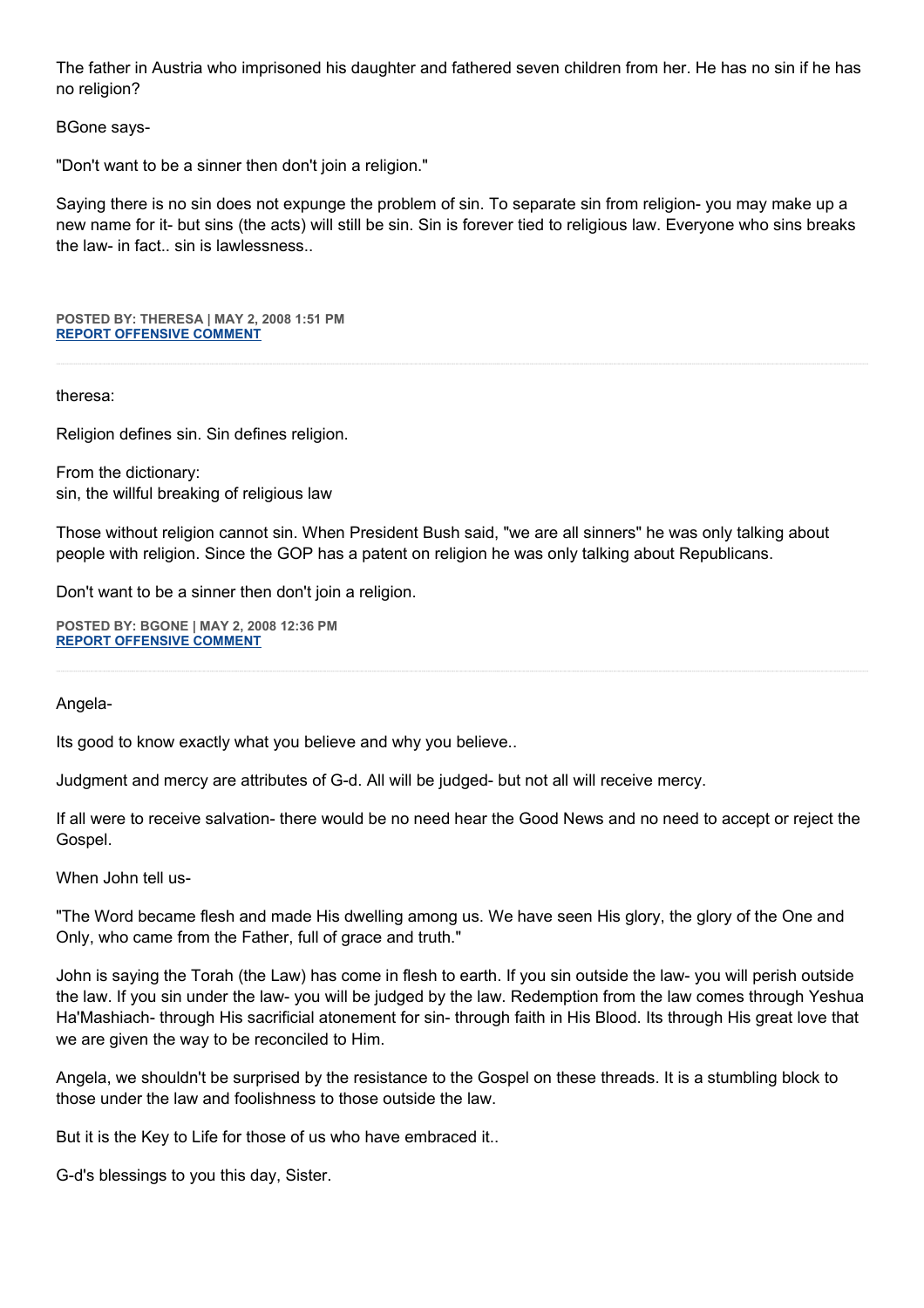The father in Austria who imprisoned his daughter and fathered seven children from her. He has no sin if he has no religion?

# BGone says-

"Don't want to be a sinner then don't join a religion."

Saying there is no sin does not expunge the problem of sin. To separate sin from religion- you may make up a new name for it- but sins (the acts) will still be sin. Sin is forever tied to religious law. Everyone who sins breaks the law- in fact... sin is lawlessness.

**POSTED BY: THERESA | MAY 2, 2008 1:51 PM [REPORT OFFENSIVE COMMENT](mailto:blogs@washingtonpost.com?subject=On%20Faith%20Panelists%20Blog%20%20%7C%20%20theresa%20%20%7C%20%20Jeremiah%20Wright:%20Black%20Preaching%20in%20Context%20%20%7C%20%203345647&body=%0D%0D%0D%0D%0D================%0D?__mode=view%26_type=comment%26id=3345647%26blog_id=618)**

## theresa:

Religion defines sin. Sin defines religion.

From the dictionary: sin, the willful breaking of religious law

Those without religion cannot sin. When President Bush said, "we are all sinners" he was only talking about people with religion. Since the GOP has a patent on religion he was only talking about Republicans.

Don't want to be a sinner then don't join a religion.

**POSTED BY: BGONE | MAY 2, 2008 12:36 PM [REPORT OFFENSIVE COMMENT](mailto:blogs@washingtonpost.com?subject=On%20Faith%20Panelists%20Blog%20%20%7C%20%20BGone%20%20%7C%20%20Jeremiah%20Wright:%20Black%20Preaching%20in%20Context%20%20%7C%20%203344893&body=%0D%0D%0D%0D%0D================%0D?__mode=view%26_type=comment%26id=3344893%26blog_id=618)**

### Angela-

Its good to know exactly what you believe and why you believe..

Judgment and mercy are attributes of G-d. All will be judged- but not all will receive mercy.

If all were to receive salvation- there would be no need hear the Good News and no need to accept or reject the Gospel.

When John tell us-

"The Word became flesh and made His dwelling among us. We have seen His glory, the glory of the One and Only, who came from the Father, full of grace and truth."

John is saying the Torah (the Law) has come in flesh to earth. If you sin outside the law- you will perish outside the law. If you sin under the law- you will be judged by the law. Redemption from the law comes through Yeshua Ha'Mashiach- through His sacrificial atonement for sin- through faith in His Blood. Its through His great love that we are given the way to be reconciled to Him.

Angela, we shouldn't be surprised by the resistance to the Gospel on these threads. It is a stumbling block to those under the law and foolishness to those outside the law.

But it is the Key to Life for those of us who have embraced it..

G-d's blessings to you this day, Sister.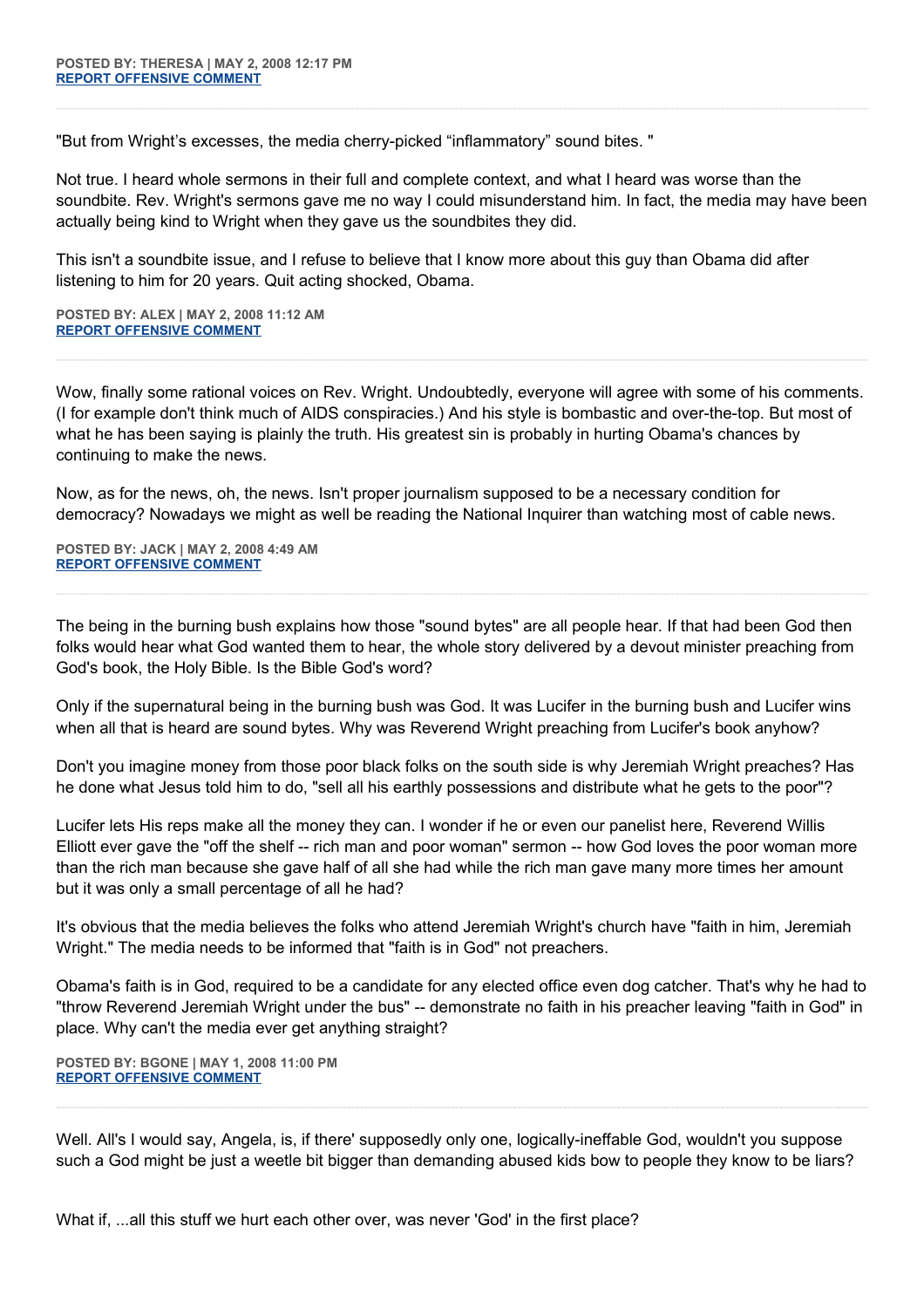"But from Wright's excesses, the media cherry-picked "inflammatory" sound bites. "

Not true. I heard whole sermons in their full and complete context, and what I heard was worse than the soundbite. Rev. Wright's sermons gave me no way I could misunderstand him. In fact, the media may have been actually being kind to Wright when they gave us the soundbites they did.

This isn't a soundbite issue, and I refuse to believe that I know more about this guy than Obama did after listening to him for 20 years. Quit acting shocked, Obama.

**POSTED BY: ALEX | MAY 2, 2008 11:12 AM [REPORT OFFENSIVE COMMENT](mailto:blogs@washingtonpost.com?subject=On%20Faith%20Panelists%20Blog%20%20%7C%20%20Alex%20%20%7C%20%20Jeremiah%20Wright:%20Black%20Preaching%20in%20Context%20%20%7C%20%203344258&body=%0D%0D%0D%0D%0D================%0D?__mode=view%26_type=comment%26id=3344258%26blog_id=618)**

Wow, finally some rational voices on Rev. Wright. Undoubtedly, everyone will agree with some of his comments. (I for example don't think much of AIDS conspiracies.) And his style is bombastic and over-the-top. But most of what he has been saying is plainly the truth. His greatest sin is probably in hurting Obama's chances by continuing to make the news.

Now, as for the news, oh, the news. Isn't proper journalism supposed to be a necessary condition for democracy? Nowadays we might as well be reading the National Inquirer than watching most of cable news.

**POSTED BY: JACK | MAY 2, 2008 4:49 AM [REPORT OFFENSIVE COMMENT](mailto:blogs@washingtonpost.com?subject=On%20Faith%20Panelists%20Blog%20%20%7C%20%20Jack%20%20%7C%20%20Jeremiah%20Wright:%20Black%20Preaching%20in%20Context%20%20%7C%20%203341266&body=%0D%0D%0D%0D%0D================%0D?__mode=view%26_type=comment%26id=3341266%26blog_id=618)**

The being in the burning bush explains how those "sound bytes" are all people hear. If that had been God then folks would hear what God wanted them to hear, the whole story delivered by a devout minister preaching from God's book, the Holy Bible. Is the Bible God's word?

Only if the supernatural being in the burning bush was God. It was Lucifer in the burning bush and Lucifer wins when all that is heard are sound bytes. Why was Reverend Wright preaching from Lucifer's book anyhow?

Don't you imagine money from those poor black folks on the south side is why Jeremiah Wright preaches? Has he done what Jesus told him to do, "sell all his earthly possessions and distribute what he gets to the poor"?

Lucifer lets His reps make all the money they can. I wonder if he or even our panelist here, Reverend Willis Elliott ever gave the "off the shelf -- rich man and poor woman" sermon -- how God loves the poor woman more than the rich man because she gave half of all she had while the rich man gave many more times her amount but it was only a small percentage of all he had?

It's obvious that the media believes the folks who attend Jeremiah Wright's church have "faith in him, Jeremiah Wright." The media needs to be informed that "faith is in God" not preachers.

Obama's faith is in God, required to be a candidate for any elected office even dog catcher. That's why he had to "throw Reverend Jeremiah Wright under the bus" -- demonstrate no faith in his preacher leaving "faith in God" in place. Why can't the media ever get anything straight?

**POSTED BY: BGONE | MAY 1, 2008 11:00 PM [REPORT OFFENSIVE COMMENT](mailto:blogs@washingtonpost.com?subject=On%20Faith%20Panelists%20Blog%20%20%7C%20%20BGone%20%20%7C%20%20Jeremiah%20Wright:%20Black%20Preaching%20in%20Context%20%20%7C%20%203338395&body=%0D%0D%0D%0D%0D================%0D?__mode=view%26_type=comment%26id=3338395%26blog_id=618)**

Well. All's I would say, Angela, is, if there' supposedly only one, logically-ineffable God, wouldn't you suppose such a God might be just a weetle bit bigger than demanding abused kids bow to people they know to be liars?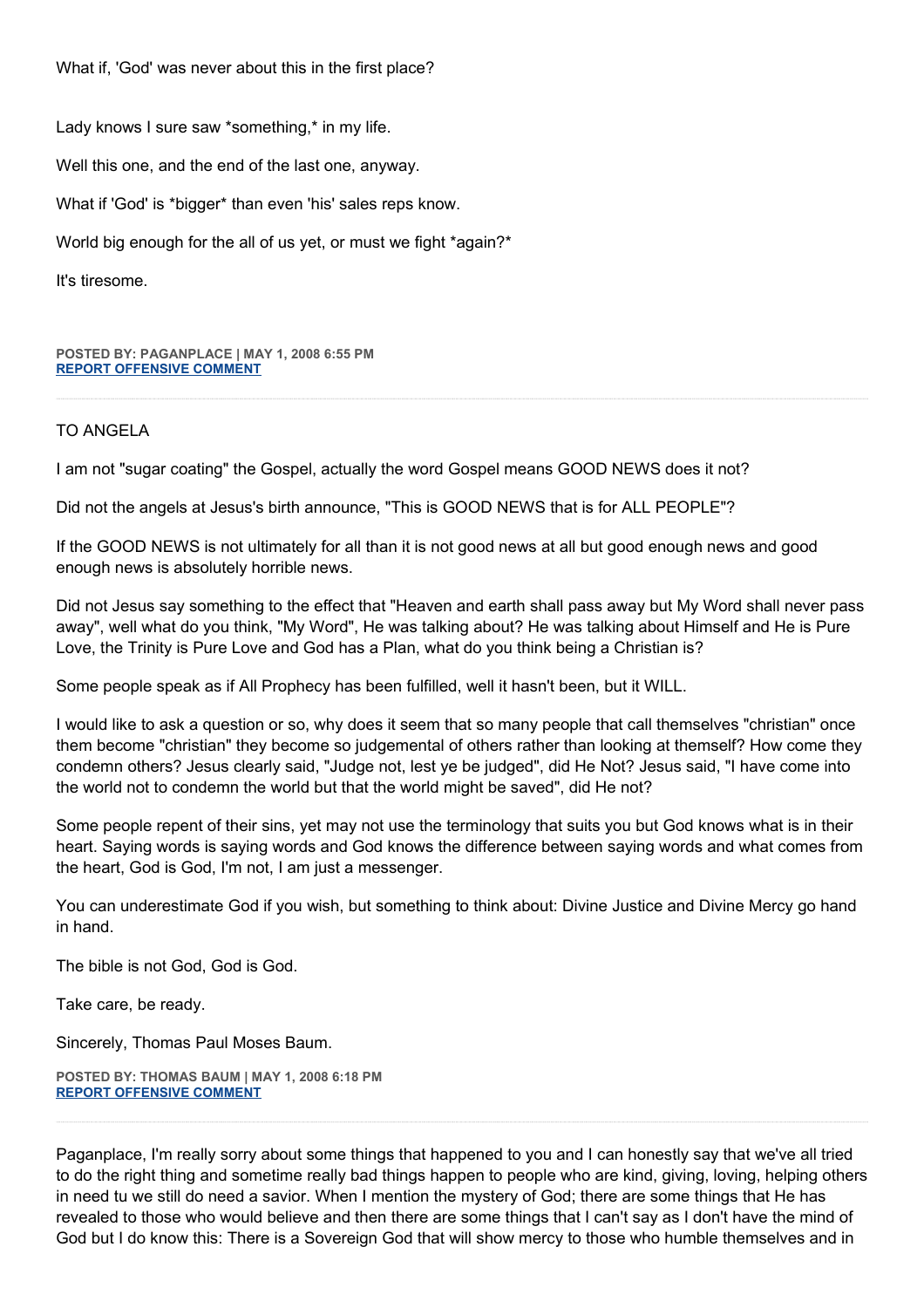What if, 'God' was never about this in the first place?

Lady knows I sure saw \*something,\* in my life.

Well this one, and the end of the last one, anyway.

What if 'God' is \*bigger\* than even 'his' sales reps know.

World big enough for the all of us yet, or must we fight \*again?\*

It's tiresome.

**POSTED BY: PAGANPLACE | MAY 1, 2008 6:55 PM [REPORT OFFENSIVE COMMENT](mailto:blogs@washingtonpost.com?subject=On%20Faith%20Panelists%20Blog%20%20%7C%20%20Paganplace%20%20%7C%20%20Jeremiah%20Wright:%20Black%20Preaching%20in%20Context%20%20%7C%20%203336743&body=%0D%0D%0D%0D%0D================%0D?__mode=view%26_type=comment%26id=3336743%26blog_id=618)**

## TO ANGELA

I am not "sugar coating" the Gospel, actually the word Gospel means GOOD NEWS does it not?

Did not the angels at Jesus's birth announce, "This is GOOD NEWS that is for ALL PEOPLE"?

If the GOOD NEWS is not ultimately for all than it is not good news at all but good enough news and good enough news is absolutely horrible news.

Did not Jesus say something to the effect that "Heaven and earth shall pass away but My Word shall never pass away", well what do you think, "My Word", He was talking about? He was talking about Himself and He is Pure Love, the Trinity is Pure Love and God has a Plan, what do you think being a Christian is?

Some people speak as if All Prophecy has been fulfilled, well it hasn't been, but it WILL.

I would like to ask a question or so, why does it seem that so many people that call themselves "christian" once them become "christian" they become so judgemental of others rather than looking at themself? How come they condemn others? Jesus clearly said, "Judge not, lest ye be judged", did He Not? Jesus said, "I have come into the world not to condemn the world but that the world might be saved", did He not?

Some people repent of their sins, yet may not use the terminology that suits you but God knows what is in their heart. Saying words is saying words and God knows the difference between saying words and what comes from the heart, God is God, I'm not, I am just a messenger.

You can underestimate God if you wish, but something to think about: Divine Justice and Divine Mercy go hand in hand.

The bible is not God, God is God.

Take care, be ready.

Sincerely, Thomas Paul Moses Baum.

**POSTED BY: THOMAS BAUM | MAY 1, 2008 6:18 PM [REPORT OFFENSIVE COMMENT](mailto:blogs@washingtonpost.com?subject=On%20Faith%20Panelists%20Blog%20%20%7C%20%20Thomas%20Baum%20%20%7C%20%20Jeremiah%20Wright:%20Black%20Preaching%20in%20Context%20%20%7C%20%203336490&body=%0D%0D%0D%0D%0D================%0D?__mode=view%26_type=comment%26id=3336490%26blog_id=618)**

Paganplace, I'm really sorry about some things that happened to you and I can honestly say that we've all tried to do the right thing and sometime really bad things happen to people who are kind, giving, loving, helping others in need tu we still do need a savior. When I mention the mystery of God; there are some things that He has revealed to those who would believe and then there are some things that I can't say as I don't have the mind of God but I do know this: There is a Sovereign God that will show mercy to those who humble themselves and in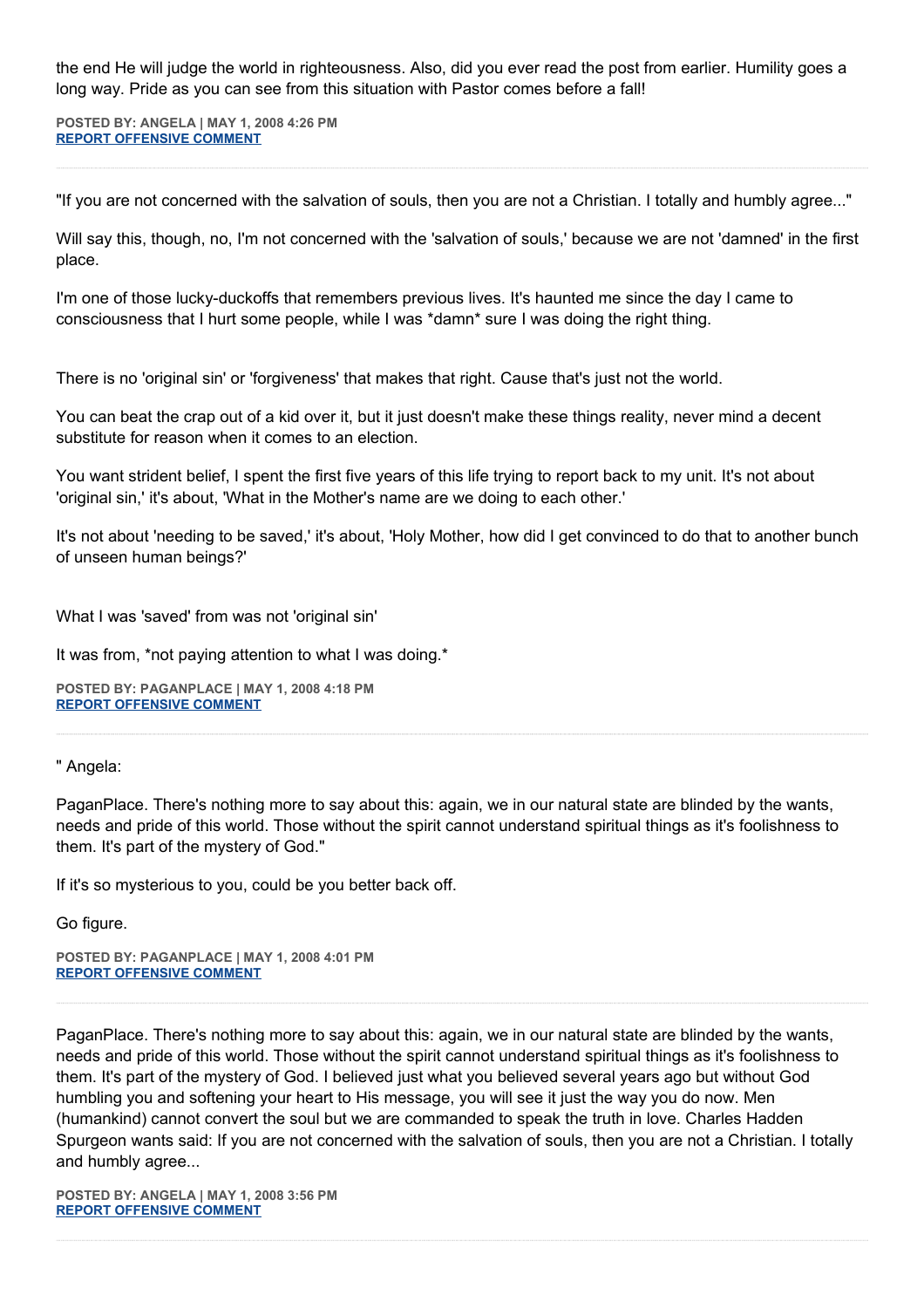the end He will judge the world in righteousness. Also, did you ever read the post from earlier. Humility goes a long way. Pride as you can see from this situation with Pastor comes before a fall!

**POSTED BY: ANGELA | MAY 1, 2008 4:26 PM [REPORT OFFENSIVE COMMENT](mailto:blogs@washingtonpost.com?subject=On%20Faith%20Panelists%20Blog%20%20%7C%20%20Angela%20%20%7C%20%20Jeremiah%20Wright:%20Black%20Preaching%20in%20Context%20%20%7C%20%203335842&body=%0D%0D%0D%0D%0D================%0D?__mode=view%26_type=comment%26id=3335842%26blog_id=618)**

"If you are not concerned with the salvation of souls, then you are not a Christian. I totally and humbly agree..."

Will say this, though, no, I'm not concerned with the 'salvation of souls,' because we are not 'damned' in the first place.

I'm one of those lucky-duckoffs that remembers previous lives. It's haunted me since the day I came to consciousness that I hurt some people, while I was \*damn\* sure I was doing the right thing.

There is no 'original sin' or 'forgiveness' that makes that right. Cause that's just not the world.

You can beat the crap out of a kid over it, but it just doesn't make these things reality, never mind a decent substitute for reason when it comes to an election.

You want strident belief, I spent the first five years of this life trying to report back to my unit. It's not about 'original sin,' it's about, 'What in the Mother's name are we doing to each other.'

It's not about 'needing to be saved,' it's about, 'Holy Mother, how did I get convinced to do that to another bunch of unseen human beings?'

What I was 'saved' from was not 'original sin'

It was from, \*not paying attention to what I was doing.\*

**POSTED BY: PAGANPLACE | MAY 1, 2008 4:18 PM [REPORT OFFENSIVE COMMENT](mailto:blogs@washingtonpost.com?subject=On%20Faith%20Panelists%20Blog%20%20%7C%20%20Paganplace%20%20%7C%20%20Jeremiah%20Wright:%20Black%20Preaching%20in%20Context%20%20%7C%20%203335782&body=%0D%0D%0D%0D%0D================%0D?__mode=view%26_type=comment%26id=3335782%26blog_id=618)**

" Angela:

PaganPlace. There's nothing more to say about this: again, we in our natural state are blinded by the wants, needs and pride of this world. Those without the spirit cannot understand spiritual things as it's foolishness to them. It's part of the mystery of God."

If it's so mysterious to you, could be you better back off.

Go figure.

**POSTED BY: PAGANPLACE | MAY 1, 2008 4:01 PM [REPORT OFFENSIVE COMMENT](mailto:blogs@washingtonpost.com?subject=On%20Faith%20Panelists%20Blog%20%20%7C%20%20Paganplace%20%20%7C%20%20Jeremiah%20Wright:%20Black%20Preaching%20in%20Context%20%20%7C%20%203335664&body=%0D%0D%0D%0D%0D================%0D?__mode=view%26_type=comment%26id=3335664%26blog_id=618)**

PaganPlace. There's nothing more to say about this: again, we in our natural state are blinded by the wants, needs and pride of this world. Those without the spirit cannot understand spiritual things as it's foolishness to them. It's part of the mystery of God. I believed just what you believed several years ago but without God humbling you and softening your heart to His message, you will see it just the way you do now. Men (humankind) cannot convert the soul but we are commanded to speak the truth in love. Charles Hadden Spurgeon wants said: If you are not concerned with the salvation of souls, then you are not a Christian. I totally and humbly agree...

**POSTED BY: ANGELA | MAY 1, 2008 3:56 PM [REPORT OFFENSIVE COMMENT](mailto:blogs@washingtonpost.com?subject=On%20Faith%20Panelists%20Blog%20%20%7C%20%20Angela%20%20%7C%20%20Jeremiah%20Wright:%20Black%20Preaching%20in%20Context%20%20%7C%20%203335624&body=%0D%0D%0D%0D%0D================%0D?__mode=view%26_type=comment%26id=3335624%26blog_id=618)**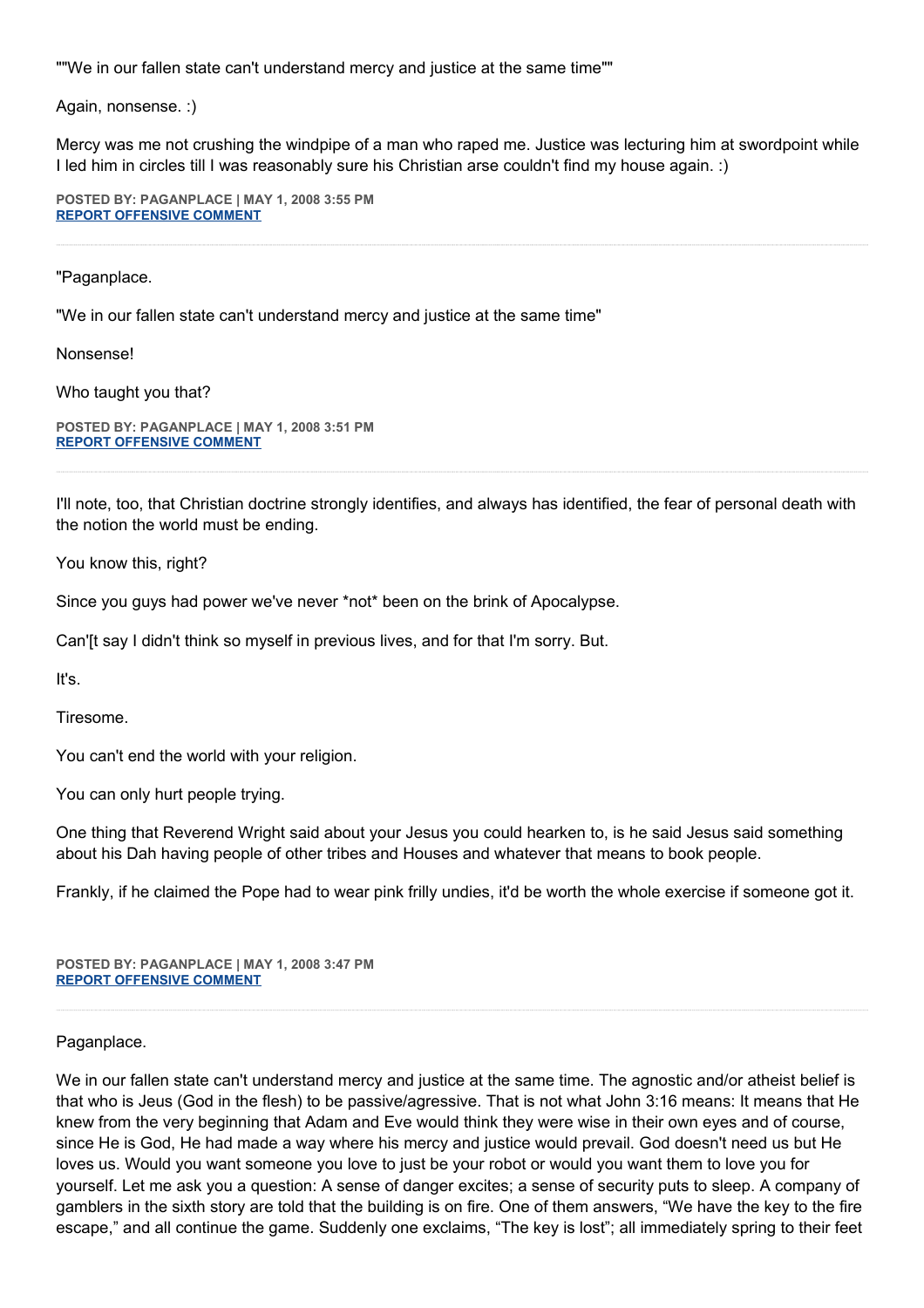""We in our fallen state can't understand mercy and justice at the same time""

Again, nonsense. :)

Mercy was me not crushing the windpipe of a man who raped me. Justice was lecturing him at swordpoint while I led him in circles till I was reasonably sure his Christian arse couldn't find my house again. :)

**POSTED BY: PAGANPLACE | MAY 1, 2008 3:55 PM [REPORT OFFENSIVE COMMENT](mailto:blogs@washingtonpost.com?subject=On%20Faith%20Panelists%20Blog%20%20%7C%20%20Paganplace%20%20%7C%20%20Jeremiah%20Wright:%20Black%20Preaching%20in%20Context%20%20%7C%20%203335622&body=%0D%0D%0D%0D%0D================%0D?__mode=view%26_type=comment%26id=3335622%26blog_id=618)**

"Paganplace.

"We in our fallen state can't understand mercy and justice at the same time"

Nonsense!

Who taught you that?

**POSTED BY: PAGANPLACE | MAY 1, 2008 3:51 PM [REPORT OFFENSIVE COMMENT](mailto:blogs@washingtonpost.com?subject=On%20Faith%20Panelists%20Blog%20%20%7C%20%20Paganplace%20%20%7C%20%20Jeremiah%20Wright:%20Black%20Preaching%20in%20Context%20%20%7C%20%203335584&body=%0D%0D%0D%0D%0D================%0D?__mode=view%26_type=comment%26id=3335584%26blog_id=618)**

I'll note, too, that Christian doctrine strongly identifies, and always has identified, the fear of personal death with the notion the world must be ending.

You know this, right?

Since you guys had power we've never \*not\* been on the brink of Apocalypse.

Can'[t say I didn't think so myself in previous lives, and for that I'm sorry. But.

It's.

Tiresome.

You can't end the world with your religion.

You can only hurt people trying.

One thing that Reverend Wright said about your Jesus you could hearken to, is he said Jesus said something about his Dah having people of other tribes and Houses and whatever that means to book people.

Frankly, if he claimed the Pope had to wear pink frilly undies, it'd be worth the whole exercise if someone got it.

**POSTED BY: PAGANPLACE | MAY 1, 2008 3:47 PM [REPORT OFFENSIVE COMMENT](mailto:blogs@washingtonpost.com?subject=On%20Faith%20Panelists%20Blog%20%20%7C%20%20Paganplace%20%20%7C%20%20Jeremiah%20Wright:%20Black%20Preaching%20in%20Context%20%20%7C%20%203335559&body=%0D%0D%0D%0D%0D================%0D?__mode=view%26_type=comment%26id=3335559%26blog_id=618)**

Paganplace.

We in our fallen state can't understand mercy and justice at the same time. The agnostic and/or atheist belief is that who is Jeus (God in the flesh) to be passive/agressive. That is not what John 3:16 means: It means that He knew from the very beginning that Adam and Eve would think they were wise in their own eyes and of course, since He is God, He had made a way where his mercy and justice would prevail. God doesn't need us but He loves us. Would you want someone you love to just be your robot or would you want them to love you for yourself. Let me ask you a question: A sense of danger excites; a sense of security puts to sleep. A company of gamblers in the sixth story are told that the building is on fire. One of them answers, "We have the key to the fire escape," and all continue the game. Suddenly one exclaims, "The key is lost"; all immediately spring to their feet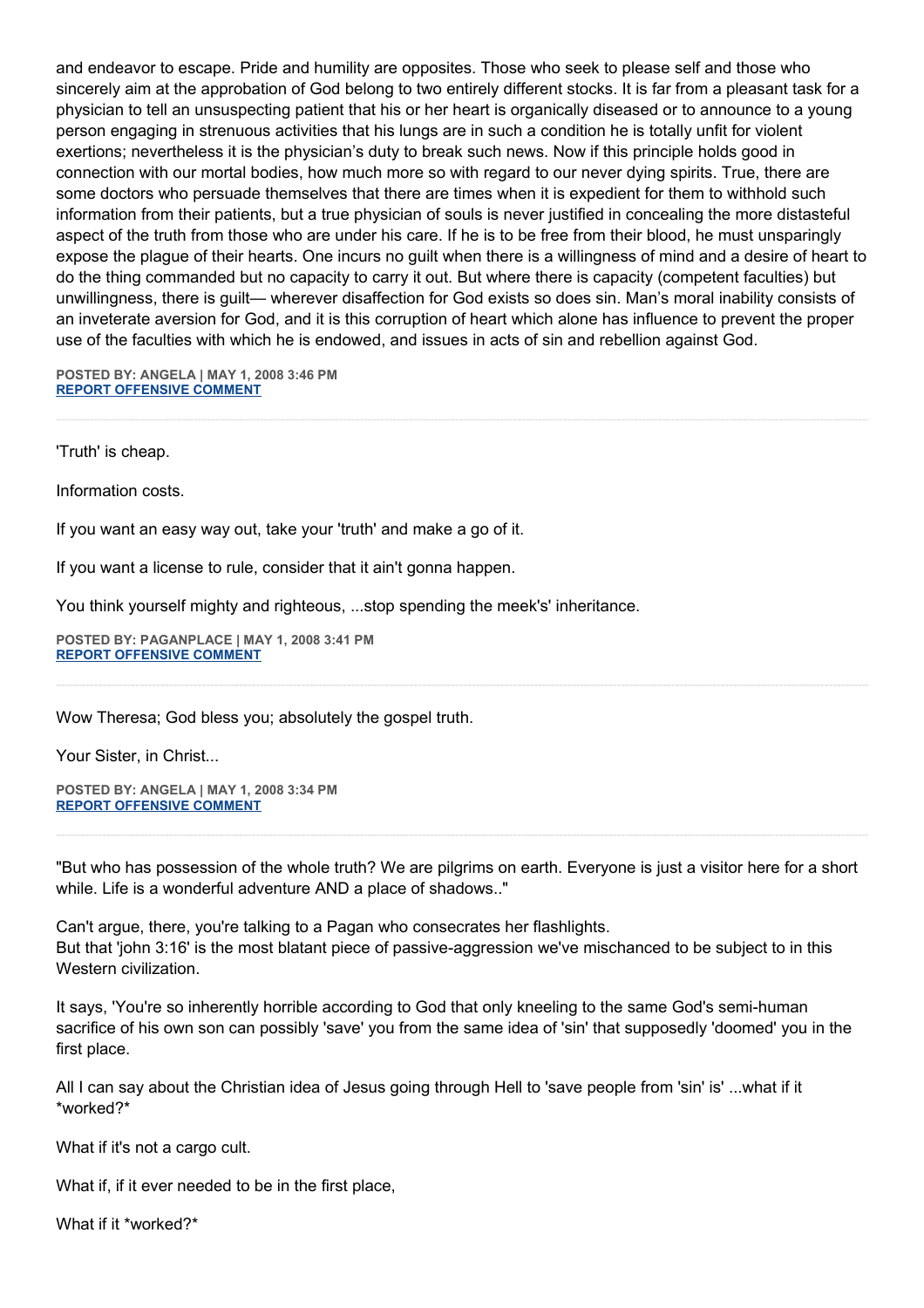and endeavor to escape. Pride and humility are opposites. Those who seek to please self and those who sincerely aim at the approbation of God belong to two entirely different stocks. It is far from a pleasant task for a physician to tell an unsuspecting patient that his or her heart is organically diseased or to announce to a young person engaging in strenuous activities that his lungs are in such a condition he is totally unfit for violent exertions; nevertheless it is the physician's duty to break such news. Now if this principle holds good in connection with our mortal bodies, how much more so with regard to our never dying spirits. True, there are some doctors who persuade themselves that there are times when it is expedient for them to withhold such information from their patients, but a true physician of souls is never justified in concealing the more distasteful aspect of the truth from those who are under his care. If he is to be free from their blood, he must unsparingly expose the plague of their hearts. One incurs no guilt when there is a willingness of mind and a desire of heart to do the thing commanded but no capacity to carry it out. But where there is capacity (competent faculties) but unwillingness, there is guilt— wherever disaffection for God exists so does sin. Man's moral inability consists of an inveterate aversion for God, and it is this corruption of heart which alone has influence to prevent the proper use of the faculties with which he is endowed, and issues in acts of sin and rebellion against God.

**POSTED BY: ANGELA | MAY 1, 2008 3:46 PM [REPORT OFFENSIVE COMMENT](mailto:blogs@washingtonpost.com?subject=On%20Faith%20Panelists%20Blog%20%20%7C%20%20Angela%20%20%7C%20%20Jeremiah%20Wright:%20Black%20Preaching%20in%20Context%20%20%7C%20%203335552&body=%0D%0D%0D%0D%0D================%0D?__mode=view%26_type=comment%26id=3335552%26blog_id=618)**

'Truth' is cheap.

Information costs.

If you want an easy way out, take your 'truth' and make a go of it.

If you want a license to rule, consider that it ain't gonna happen.

You think yourself mighty and righteous, ...stop spending the meek's' inheritance.

**POSTED BY: PAGANPLACE | MAY 1, 2008 3:41 PM [REPORT OFFENSIVE COMMENT](mailto:blogs@washingtonpost.com?subject=On%20Faith%20Panelists%20Blog%20%20%7C%20%20Paganplace%20%20%7C%20%20Jeremiah%20Wright:%20Black%20Preaching%20in%20Context%20%20%7C%20%203335517&body=%0D%0D%0D%0D%0D================%0D?__mode=view%26_type=comment%26id=3335517%26blog_id=618)**

Wow Theresa; God bless you; absolutely the gospel truth.

Your Sister, in Christ...

**POSTED BY: ANGELA | MAY 1, 2008 3:34 PM [REPORT OFFENSIVE COMMENT](mailto:blogs@washingtonpost.com?subject=On%20Faith%20Panelists%20Blog%20%20%7C%20%20Angela%20%20%7C%20%20Jeremiah%20Wright:%20Black%20Preaching%20in%20Context%20%20%7C%20%203335490&body=%0D%0D%0D%0D%0D================%0D?__mode=view%26_type=comment%26id=3335490%26blog_id=618)**

"But who has possession of the whole truth? We are pilgrims on earth. Everyone is just a visitor here for a short while. Life is a wonderful adventure AND a place of shadows.."

Can't argue, there, you're talking to a Pagan who consecrates her flashlights. But that 'john 3:16' is the most blatant piece of passive-aggression we've mischanced to be subject to in this Western civilization.

It says, 'You're so inherently horrible according to God that only kneeling to the same God's semi-human sacrifice of his own son can possibly 'save' you from the same idea of 'sin' that supposedly 'doomed' you in the first place.

All I can say about the Christian idea of Jesus going through Hell to 'save people from 'sin' is' ...what if it \*worked?\*

What if it's not a cargo cult.

What if, if it ever needed to be in the first place,

What if it \*worked?\*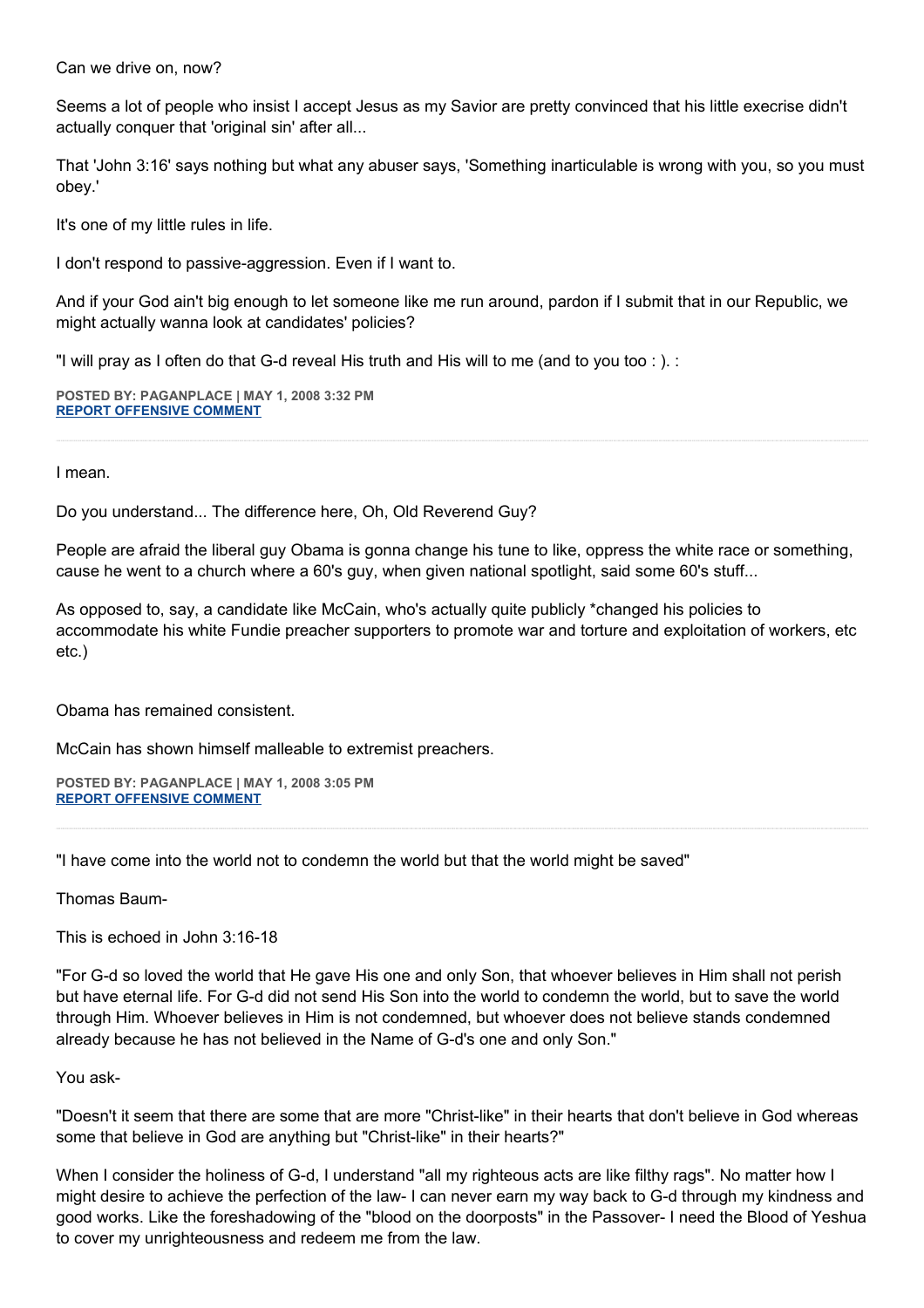Can we drive on, now?

Seems a lot of people who insist I accept Jesus as my Savior are pretty convinced that his little execrise didn't actually conquer that 'original sin' after all...

That 'John 3:16' says nothing but what any abuser says, 'Something inarticulable is wrong with you, so you must obey.'

It's one of my little rules in life.

I don't respond to passive-aggression. Even if I want to.

And if your God ain't big enough to let someone like me run around, pardon if I submit that in our Republic, we might actually wanna look at candidates' policies?

"I will pray as I often do that G-d reveal His truth and His will to me (and to you too : ). :

**POSTED BY: PAGANPLACE | MAY 1, 2008 3:32 PM [REPORT OFFENSIVE COMMENT](mailto:blogs@washingtonpost.com?subject=On%20Faith%20Panelists%20Blog%20%20%7C%20%20Paganplace%20%20%7C%20%20Jeremiah%20Wright:%20Black%20Preaching%20in%20Context%20%20%7C%20%203335481&body=%0D%0D%0D%0D%0D================%0D?__mode=view%26_type=comment%26id=3335481%26blog_id=618)**

I mean.

Do you understand... The difference here, Oh, Old Reverend Guy?

People are afraid the liberal guy Obama is gonna change his tune to like, oppress the white race or something, cause he went to a church where a 60's guy, when given national spotlight, said some 60's stuff...

As opposed to, say, a candidate like McCain, who's actually quite publicly \*changed his policies to accommodate his white Fundie preacher supporters to promote war and torture and exploitation of workers, etc etc.)

Obama has remained consistent.

McCain has shown himself malleable to extremist preachers.

**POSTED BY: PAGANPLACE | MAY 1, 2008 3:05 PM [REPORT OFFENSIVE COMMENT](mailto:blogs@washingtonpost.com?subject=On%20Faith%20Panelists%20Blog%20%20%7C%20%20Paganplace%20%20%7C%20%20Jeremiah%20Wright:%20Black%20Preaching%20in%20Context%20%20%7C%20%203335328&body=%0D%0D%0D%0D%0D================%0D?__mode=view%26_type=comment%26id=3335328%26blog_id=618)**

"I have come into the world not to condemn the world but that the world might be saved"

Thomas Baum-

This is echoed in John 3:16-18

"For G-d so loved the world that He gave His one and only Son, that whoever believes in Him shall not perish but have eternal life. For G-d did not send His Son into the world to condemn the world, but to save the world through Him. Whoever believes in Him is not condemned, but whoever does not believe stands condemned already because he has not believed in the Name of G-d's one and only Son."

# You ask-

"Doesn't it seem that there are some that are more "Christ-like" in their hearts that don't believe in God whereas some that believe in God are anything but "Christ-like" in their hearts?"

When I consider the holiness of G-d, I understand "all my righteous acts are like filthy rags". No matter how I might desire to achieve the perfection of the law- I can never earn my way back to G-d through my kindness and good works. Like the foreshadowing of the "blood on the doorposts" in the Passover- I need the Blood of Yeshua to cover my unrighteousness and redeem me from the law.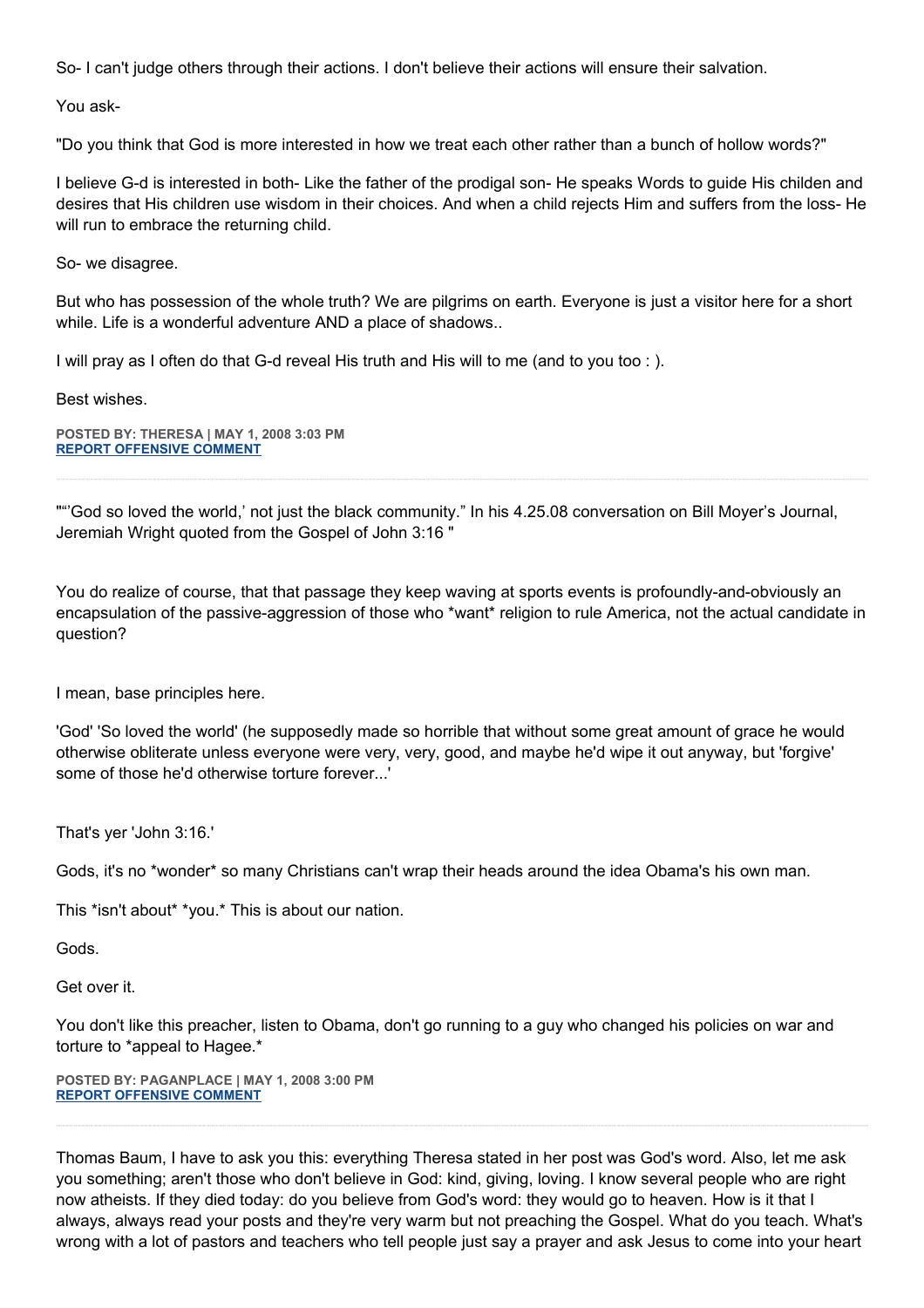So- I can't judge others through their actions. I don't believe their actions will ensure their salvation.

You ask-

"Do you think that God is more interested in how we treat each other rather than a bunch of hollow words?"

I believe G-d is interested in both- Like the father of the prodigal son- He speaks Words to guide His childen and desires that His children use wisdom in their choices. And when a child rejects Him and suffers from the loss- He will run to embrace the returning child.

So- we disagree.

But who has possession of the whole truth? We are pilgrims on earth. Everyone is just a visitor here for a short while. Life is a wonderful adventure AND a place of shadows..

I will pray as I often do that G-d reveal His truth and His will to me (and to you too : ).

Best wishes.

**POSTED BY: THERESA | MAY 1, 2008 3:03 PM [REPORT OFFENSIVE COMMENT](mailto:blogs@washingtonpost.com?subject=On%20Faith%20Panelists%20Blog%20%20%7C%20%20theresa%20%20%7C%20%20Jeremiah%20Wright:%20Black%20Preaching%20in%20Context%20%20%7C%20%203335315&body=%0D%0D%0D%0D%0D================%0D?__mode=view%26_type=comment%26id=3335315%26blog_id=618)**

""'God so loved the world,' not just the black community." In his 4.25.08 conversation on Bill Moyer's Journal, Jeremiah Wright quoted from the Gospel of John 3:16 "

You do realize of course, that that passage they keep waving at sports events is profoundly-and-obviously an encapsulation of the passive-aggression of those who \*want\* religion to rule America, not the actual candidate in question?

I mean, base principles here.

'God' 'So loved the world' (he supposedly made so horrible that without some great amount of grace he would otherwise obliterate unless everyone were very, very, good, and maybe he'd wipe it out anyway, but 'forgive' some of those he'd otherwise torture forever...'

That's yer 'John 3:16.'

Gods, it's no \*wonder\* so many Christians can't wrap their heads around the idea Obama's his own man.

This \*isn't about\* \*you.\* This is about our nation.

Gods.

Get over it.

You don't like this preacher, listen to Obama, don't go running to a guy who changed his policies on war and torture to \*appeal to Hagee.\*

**POSTED BY: PAGANPLACE | MAY 1, 2008 3:00 PM [REPORT OFFENSIVE COMMENT](mailto:blogs@washingtonpost.com?subject=On%20Faith%20Panelists%20Blog%20%20%7C%20%20Paganplace%20%20%7C%20%20Jeremiah%20Wright:%20Black%20Preaching%20in%20Context%20%20%7C%20%203335294&body=%0D%0D%0D%0D%0D================%0D?__mode=view%26_type=comment%26id=3335294%26blog_id=618)**

Thomas Baum, I have to ask you this: everything Theresa stated in her post was God's word. Also, let me ask you something; aren't those who don't believe in God: kind, giving, loving. I know several people who are right now atheists. If they died today: do you believe from God's word: they would go to heaven. How is it that I always, always read your posts and they're very warm but not preaching the Gospel. What do you teach. What's wrong with a lot of pastors and teachers who tell people just say a prayer and ask Jesus to come into your heart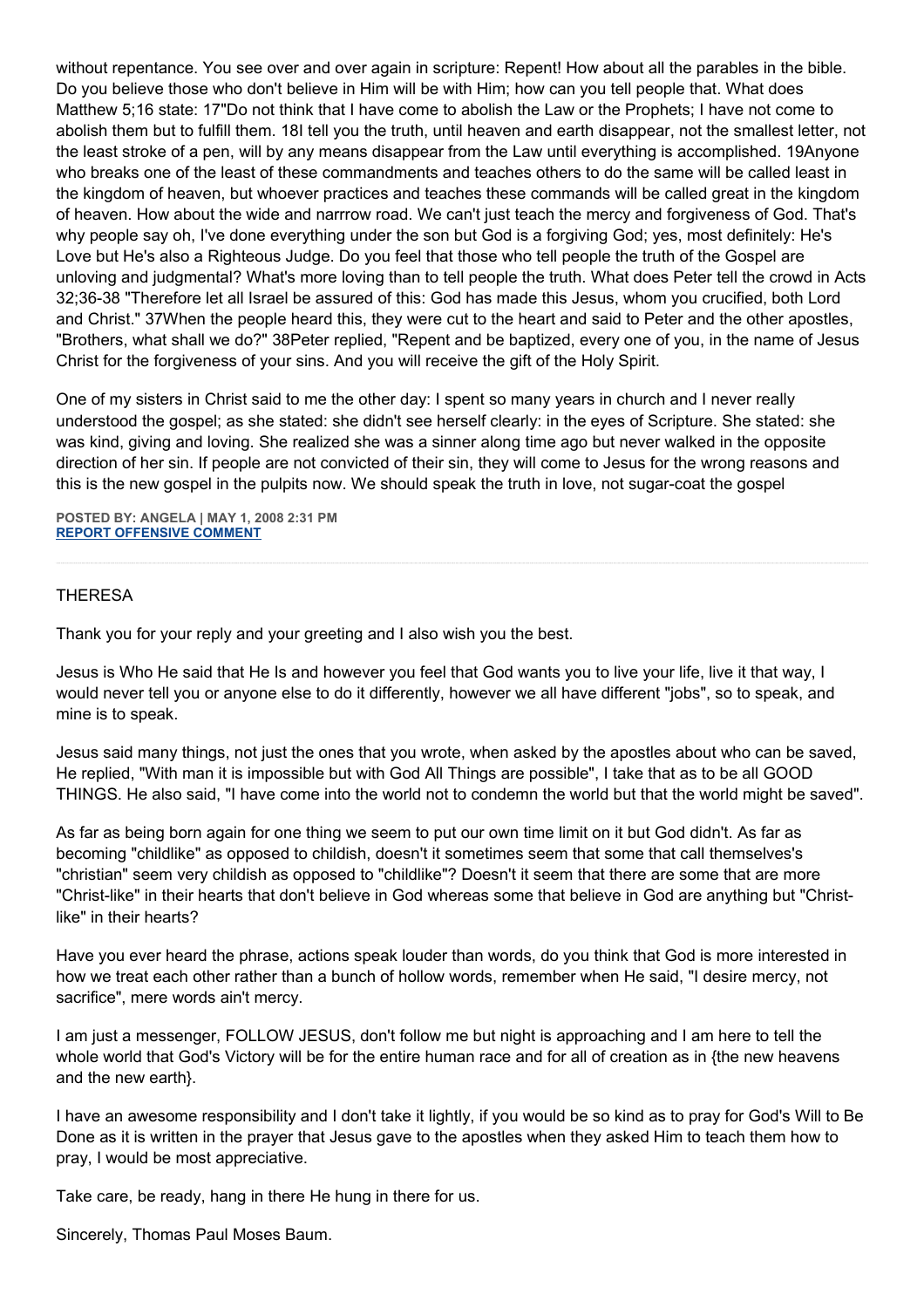without repentance. You see over and over again in scripture: Repent! How about all the parables in the bible. Do you believe those who don't believe in Him will be with Him; how can you tell people that. What does Matthew 5;16 state: 17"Do not think that I have come to abolish the Law or the Prophets; I have not come to abolish them but to fulfill them. 18I tell you the truth, until heaven and earth disappear, not the smallest letter, not the least stroke of a pen, will by any means disappear from the Law until everything is accomplished. 19Anyone who breaks one of the least of these commandments and teaches others to do the same will be called least in the kingdom of heaven, but whoever practices and teaches these commands will be called great in the kingdom of heaven. How about the wide and narrrow road. We can't just teach the mercy and forgiveness of God. That's why people say oh, I've done everything under the son but God is a forgiving God; yes, most definitely: He's Love but He's also a Righteous Judge. Do you feel that those who tell people the truth of the Gospel are unloving and judgmental? What's more loving than to tell people the truth. What does Peter tell the crowd in Acts 32;36-38 "Therefore let all Israel be assured of this: God has made this Jesus, whom you crucified, both Lord and Christ." 37When the people heard this, they were cut to the heart and said to Peter and the other apostles, "Brothers, what shall we do?" 38Peter replied, "Repent and be baptized, every one of you, in the name of Jesus Christ for the forgiveness of your sins. And you will receive the gift of the Holy Spirit.

One of my sisters in Christ said to me the other day: I spent so many years in church and I never really understood the gospel; as she stated: she didn't see herself clearly: in the eyes of Scripture. She stated: she was kind, giving and loving. She realized she was a sinner along time ago but never walked in the opposite direction of her sin. If people are not convicted of their sin, they will come to Jesus for the wrong reasons and this is the new gospel in the pulpits now. We should speak the truth in love, not sugar-coat the gospel

**POSTED BY: ANGELA | MAY 1, 2008 2:31 PM [REPORT OFFENSIVE COMMENT](mailto:blogs@washingtonpost.com?subject=On%20Faith%20Panelists%20Blog%20%20%7C%20%20Angela%20%20%20%7C%20%20Jeremiah%20Wright:%20Black%20Preaching%20in%20Context%20%20%7C%20%203335141&body=%0D%0D%0D%0D%0D================%0D?__mode=view%26_type=comment%26id=3335141%26blog_id=618)**

## THERESA

Thank you for your reply and your greeting and I also wish you the best.

Jesus is Who He said that He Is and however you feel that God wants you to live your life, live it that way, I would never tell you or anyone else to do it differently, however we all have different "jobs", so to speak, and mine is to speak.

Jesus said many things, not just the ones that you wrote, when asked by the apostles about who can be saved, He replied, "With man it is impossible but with God All Things are possible", I take that as to be all GOOD THINGS. He also said, "I have come into the world not to condemn the world but that the world might be saved".

As far as being born again for one thing we seem to put our own time limit on it but God didn't. As far as becoming "childlike" as opposed to childish, doesn't it sometimes seem that some that call themselves's "christian" seem very childish as opposed to "childlike"? Doesn't it seem that there are some that are more "Christ-like" in their hearts that don't believe in God whereas some that believe in God are anything but "Christlike" in their hearts?

Have you ever heard the phrase, actions speak louder than words, do you think that God is more interested in how we treat each other rather than a bunch of hollow words, remember when He said, "I desire mercy, not sacrifice", mere words ain't mercy.

I am just a messenger, FOLLOW JESUS, don't follow me but night is approaching and I am here to tell the whole world that God's Victory will be for the entire human race and for all of creation as in {the new heavens and the new earth}.

I have an awesome responsibility and I don't take it lightly, if you would be so kind as to pray for God's Will to Be Done as it is written in the prayer that Jesus gave to the apostles when they asked Him to teach them how to pray, I would be most appreciative.

Take care, be ready, hang in there He hung in there for us.

Sincerely, Thomas Paul Moses Baum.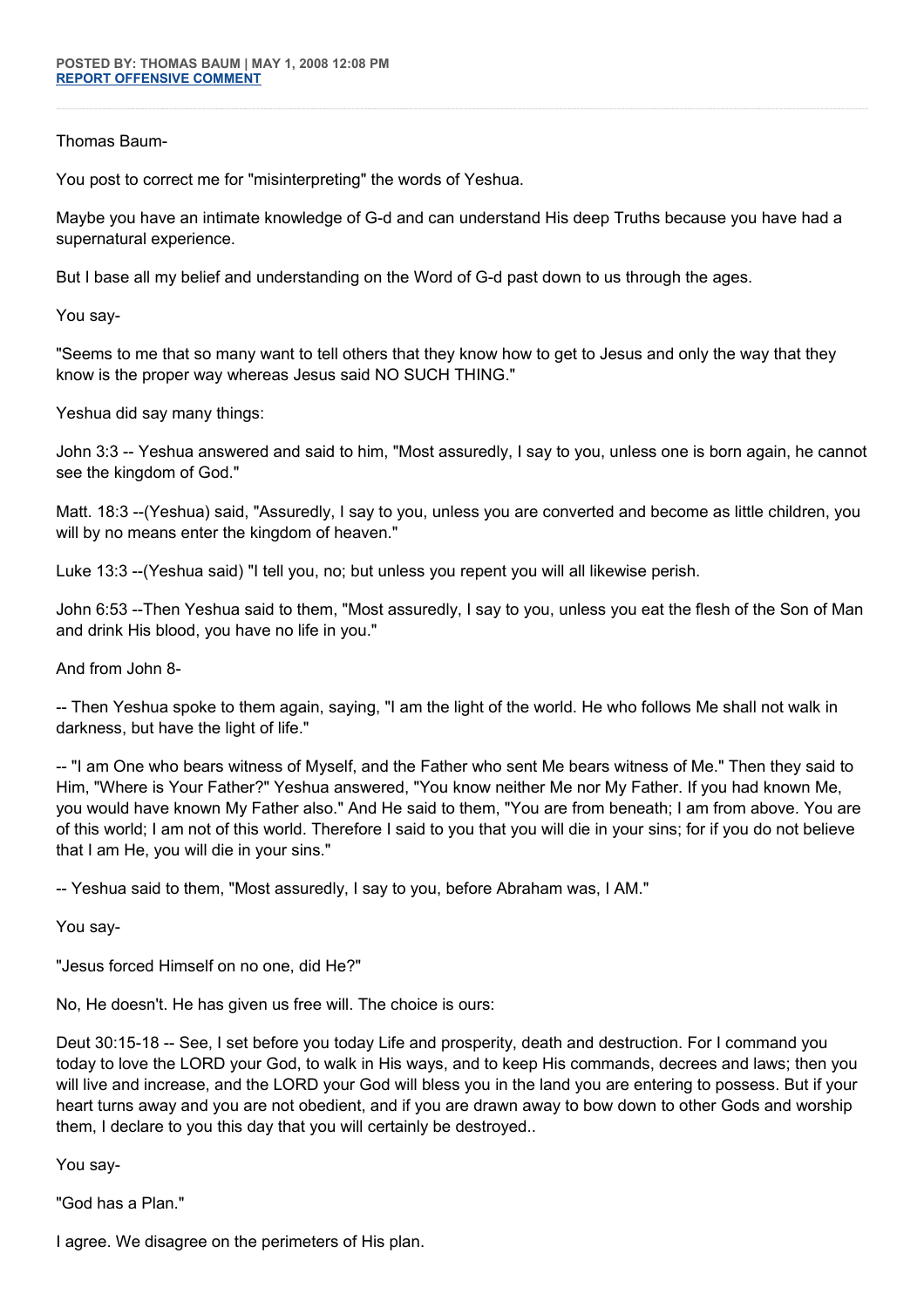# Thomas Baum-

You post to correct me for "misinterpreting" the words of Yeshua.

Maybe you have an intimate knowledge of G-d and can understand His deep Truths because you have had a supernatural experience.

But I base all my belief and understanding on the Word of G-d past down to us through the ages.

You say-

"Seems to me that so many want to tell others that they know how to get to Jesus and only the way that they know is the proper way whereas Jesus said NO SUCH THING."

Yeshua did say many things:

John 3:3 -- Yeshua answered and said to him, "Most assuredly, I say to you, unless one is born again, he cannot see the kingdom of God."

Matt. 18:3 --(Yeshua) said, "Assuredly, I say to you, unless you are converted and become as little children, you will by no means enter the kingdom of heaven."

Luke 13:3 --(Yeshua said) "I tell you, no; but unless you repent you will all likewise perish.

John 6:53 --Then Yeshua said to them, "Most assuredly, I say to you, unless you eat the flesh of the Son of Man and drink His blood, you have no life in you."

And from John 8-

-- Then Yeshua spoke to them again, saying, "I am the light of the world. He who follows Me shall not walk in darkness, but have the light of life."

-- "I am One who bears witness of Myself, and the Father who sent Me bears witness of Me." Then they said to Him, "Where is Your Father?" Yeshua answered, "You know neither Me nor My Father. If you had known Me, you would have known My Father also." And He said to them, "You are from beneath; I am from above. You are of this world; I am not of this world. Therefore I said to you that you will die in your sins; for if you do not believe that I am He, you will die in your sins."

-- Yeshua said to them, "Most assuredly, I say to you, before Abraham was, I AM."

You say-

"Jesus forced Himself on no one, did He?"

No, He doesn't. He has given us free will. The choice is ours:

Deut 30:15-18 -- See, I set before you today Life and prosperity, death and destruction. For I command you today to love the LORD your God, to walk in His ways, and to keep His commands, decrees and laws; then you will live and increase, and the LORD your God will bless you in the land you are entering to possess. But if your heart turns away and you are not obedient, and if you are drawn away to bow down to other Gods and worship them, I declare to you this day that you will certainly be destroyed..

You say-

"God has a Plan."

I agree. We disagree on the perimeters of His plan.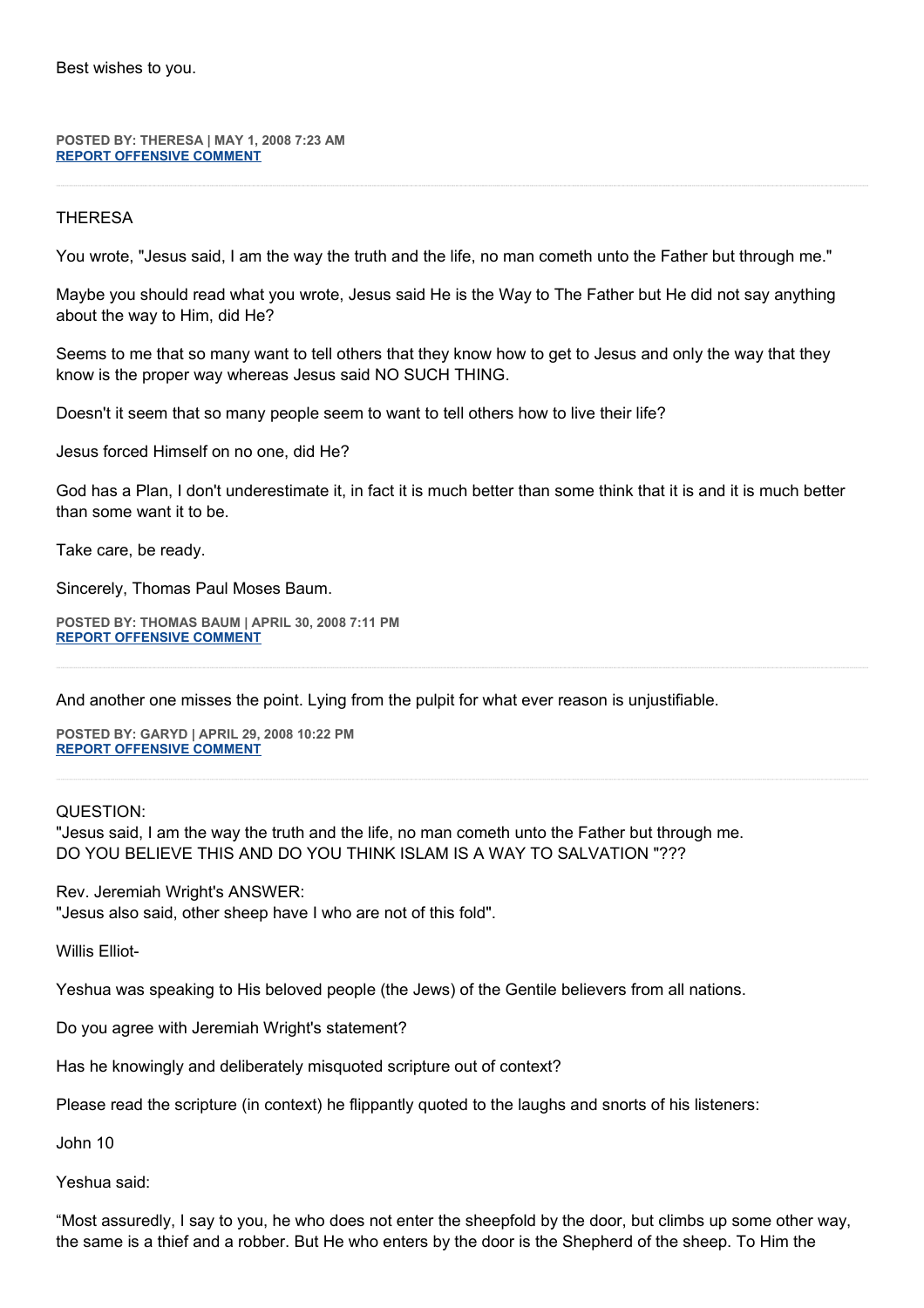Best wishes to you.

**POSTED BY: THERESA | MAY 1, 2008 7:23 AM [REPORT OFFENSIVE COMMENT](mailto:blogs@washingtonpost.com?subject=On%20Faith%20Panelists%20Blog%20%20%7C%20%20theresa%20%20%7C%20%20Jeremiah%20Wright:%20Black%20Preaching%20in%20Context%20%20%7C%20%203332367&body=%0D%0D%0D%0D%0D================%0D?__mode=view%26_type=comment%26id=3332367%26blog_id=618)**

# **THERESA**

You wrote, "Jesus said, I am the way the truth and the life, no man cometh unto the Father but through me."

Maybe you should read what you wrote, Jesus said He is the Way to The Father but He did not say anything about the way to Him, did He?

Seems to me that so many want to tell others that they know how to get to Jesus and only the way that they know is the proper way whereas Jesus said NO SUCH THING.

Doesn't it seem that so many people seem to want to tell others how to live their life?

Jesus forced Himself on no one, did He?

God has a Plan, I don't underestimate it, in fact it is much better than some think that it is and it is much better than some want it to be.

Take care, be ready.

Sincerely, Thomas Paul Moses Baum.

**POSTED BY: THOMAS BAUM | APRIL 30, 2008 7:11 PM [REPORT OFFENSIVE COMMENT](mailto:blogs@washingtonpost.com?subject=On%20Faith%20Panelists%20Blog%20%20%7C%20%20Thomas%20Baum%20%20%7C%20%20Jeremiah%20Wright:%20Black%20Preaching%20in%20Context%20%20%7C%20%203326616&body=%0D%0D%0D%0D%0D================%0D?__mode=view%26_type=comment%26id=3326616%26blog_id=618)**

And another one misses the point. Lying from the pulpit for what ever reason is unjustifiable.

**POSTED BY: GARYD | APRIL 29, 2008 10:22 PM [REPORT OFFENSIVE COMMENT](mailto:blogs@washingtonpost.com?subject=On%20Faith%20Panelists%20Blog%20%20%7C%20%20Garyd%20%20%7C%20%20Jeremiah%20Wright:%20Black%20Preaching%20in%20Context%20%20%7C%20%203319102&body=%0D%0D%0D%0D%0D================%0D?__mode=view%26_type=comment%26id=3319102%26blog_id=618)**

QUESTION:

"Jesus said, I am the way the truth and the life, no man cometh unto the Father but through me. DO YOU BELIEVE THIS AND DO YOU THINK ISLAM IS A WAY TO SALVATION "???

Rev. Jeremiah Wright's ANSWER: "Jesus also said, other sheep have I who are not of this fold".

Willis Elliot-

Yeshua was speaking to His beloved people (the Jews) of the Gentile believers from all nations.

Do you agree with Jeremiah Wright's statement?

Has he knowingly and deliberately misquoted scripture out of context?

Please read the scripture (in context) he flippantly quoted to the laughs and snorts of his listeners:

John 10

Yeshua said:

"Most assuredly, I say to you, he who does not enter the sheepfold by the door, but climbs up some other way, the same is a thief and a robber. But He who enters by the door is the Shepherd of the sheep. To Him the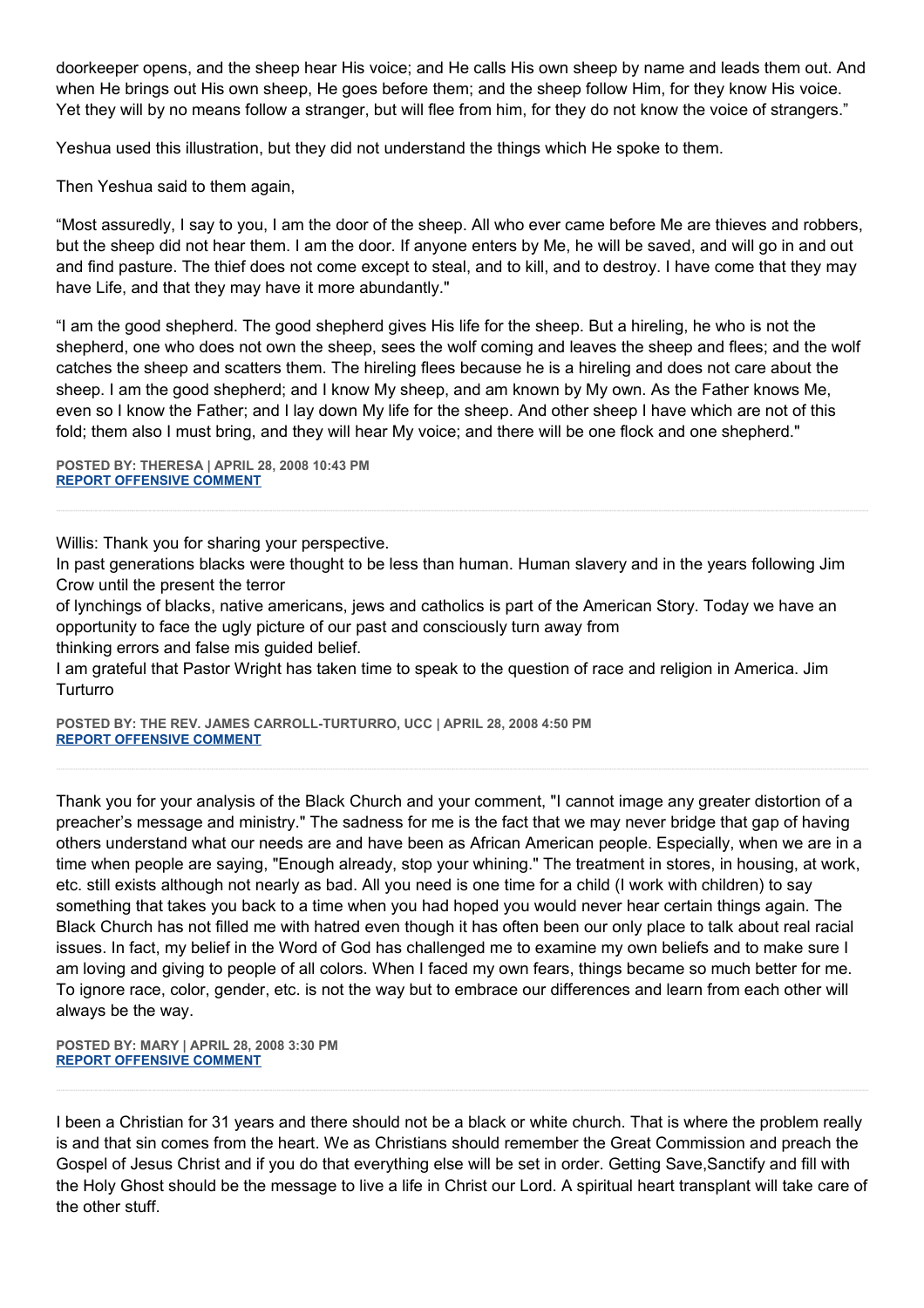doorkeeper opens, and the sheep hear His voice; and He calls His own sheep by name and leads them out. And when He brings out His own sheep, He goes before them; and the sheep follow Him, for they know His voice. Yet they will by no means follow a stranger, but will flee from him, for they do not know the voice of strangers."

Yeshua used this illustration, but they did not understand the things which He spoke to them.

Then Yeshua said to them again,

"Most assuredly, I say to you, I am the door of the sheep. All who ever came before Me are thieves and robbers, but the sheep did not hear them. I am the door. If anyone enters by Me, he will be saved, and will go in and out and find pasture. The thief does not come except to steal, and to kill, and to destroy. I have come that they may have Life, and that they may have it more abundantly."

"I am the good shepherd. The good shepherd gives His life for the sheep. But a hireling, he who is not the shepherd, one who does not own the sheep, sees the wolf coming and leaves the sheep and flees; and the wolf catches the sheep and scatters them. The hireling flees because he is a hireling and does not care about the sheep. I am the good shepherd; and I know My sheep, and am known by My own. As the Father knows Me, even so I know the Father; and I lay down My life for the sheep. And other sheep I have which are not of this fold; them also I must bring, and they will hear My voice; and there will be one flock and one shepherd."

**POSTED BY: THERESA | APRIL 28, 2008 10:43 PM [REPORT OFFENSIVE COMMENT](mailto:blogs@washingtonpost.com?subject=On%20Faith%20Panelists%20Blog%20%20%7C%20%20theresa%20%20%7C%20%20Jeremiah%20Wright:%20Black%20Preaching%20in%20Context%20%20%7C%20%203310995&body=%0D%0D%0D%0D%0D================%0D?__mode=view%26_type=comment%26id=3310995%26blog_id=618)**

Willis: Thank you for sharing your perspective.

In past generations blacks were thought to be less than human. Human slavery and in the years following Jim Crow until the present the terror

of lynchings of blacks, native americans, jews and catholics is part of the American Story. Today we have an opportunity to face the ugly picture of our past and consciously turn away from

thinking errors and false mis guided belief.

I am grateful that Pastor Wright has taken time to speak to the question of race and religion in America. Jim **Turturro** 

**POSTED BY: THE REV. JAMES CARROLL-TURTURRO, UCC | APRIL 28, 2008 4:50 PM [REPORT OFFENSIVE COMMENT](mailto:blogs@washingtonpost.com?subject=On%20Faith%20Panelists%20Blog%20%20%7C%20%20The%20Rev.%20James%20Carroll-Turturro,%20UCC%20%20%7C%20%20Jeremiah%20Wright:%20Black%20Preaching%20in%20Context%20%20%7C%20%203308662&body=%0D%0D%0D%0D%0D================%0D?__mode=view%26_type=comment%26id=3308662%26blog_id=618)**

Thank you for your analysis of the Black Church and your comment, "I cannot image any greater distortion of a preacher's message and ministry." The sadness for me is the fact that we may never bridge that gap of having others understand what our needs are and have been as African American people. Especially, when we are in a time when people are saying, "Enough already, stop your whining." The treatment in stores, in housing, at work, etc. still exists although not nearly as bad. All you need is one time for a child (I work with children) to say something that takes you back to a time when you had hoped you would never hear certain things again. The Black Church has not filled me with hatred even though it has often been our only place to talk about real racial issues. In fact, my belief in the Word of God has challenged me to examine my own beliefs and to make sure I am loving and giving to people of all colors. When I faced my own fears, things became so much better for me. To ignore race, color, gender, etc. is not the way but to embrace our differences and learn from each other will always be the way.

**POSTED BY: MARY | APRIL 28, 2008 3:30 PM [REPORT OFFENSIVE COMMENT](mailto:blogs@washingtonpost.com?subject=On%20Faith%20Panelists%20Blog%20%20%7C%20%20Mary%20%20%7C%20%20Jeremiah%20Wright:%20Black%20Preaching%20in%20Context%20%20%7C%20%203308104&body=%0D%0D%0D%0D%0D================%0D?__mode=view%26_type=comment%26id=3308104%26blog_id=618)**

I been a Christian for 31 years and there should not be a black or white church. That is where the problem really is and that sin comes from the heart. We as Christians should remember the Great Commission and preach the Gospel of Jesus Christ and if you do that everything else will be set in order. Getting Save,Sanctify and fill with the Holy Ghost should be the message to live a life in Christ our Lord. A spiritual heart transplant will take care of the other stuff.